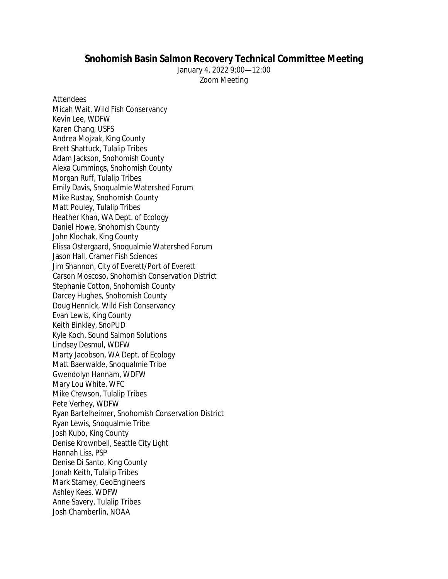## **Snohomish Basin Salmon Recovery Technical Committee Meeting**

January 4, 2022 9:00—12:00 Zoom Meeting

**Attendees** 

Micah Wait, Wild Fish Conservancy Kevin Lee, WDFW Karen Chang, USFS Andrea Mojzak, King County Brett Shattuck, Tulalip Tribes Adam Jackson, Snohomish County Alexa Cummings, Snohomish County Morgan Ruff, Tulalip Tribes Emily Davis, Snoqualmie Watershed Forum Mike Rustay, Snohomish County Matt Pouley, Tulalip Tribes Heather Khan, WA Dept. of Ecology Daniel Howe, Snohomish County John Klochak, King County Elissa Ostergaard, Snoqualmie Watershed Forum Jason Hall, Cramer Fish Sciences Jim Shannon, City of Everett/Port of Everett Carson Moscoso, Snohomish Conservation District Stephanie Cotton, Snohomish County Darcey Hughes, Snohomish County Doug Hennick, Wild Fish Conservancy Evan Lewis, King County Keith Binkley, SnoPUD Kyle Koch, Sound Salmon Solutions Lindsey Desmul, WDFW Marty Jacobson, WA Dept. of Ecology Matt Baerwalde, Snoqualmie Tribe Gwendolyn Hannam, WDFW Mary Lou White, WFC Mike Crewson, Tulalip Tribes Pete Verhey, WDFW Ryan Bartelheimer, Snohomish Conservation District Ryan Lewis, Snoqualmie Tribe Josh Kubo, King County Denise Krownbell, Seattle City Light Hannah Liss, PSP Denise Di Santo, King County Jonah Keith, Tulalip Tribes Mark Stamey, GeoEngineers Ashley Kees, WDFW Anne Savery, Tulalip Tribes Josh Chamberlin, NOAA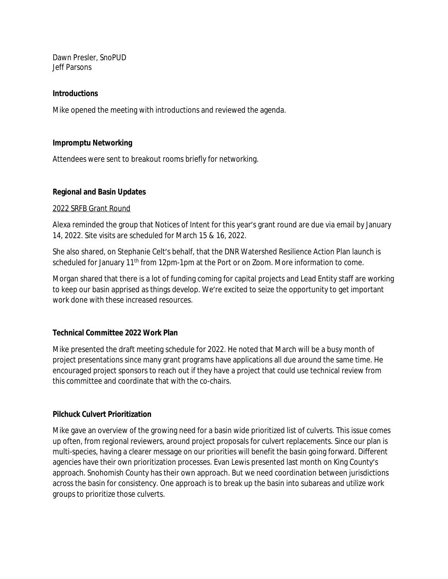Dawn Presler, SnoPUD Jeff Parsons

#### **Introductions**

Mike opened the meeting with introductions and reviewed the agenda.

#### **Impromptu Networking**

Attendees were sent to breakout rooms briefly for networking.

#### **Regional and Basin Updates**

#### 2022 SRFB Grant Round

Alexa reminded the group that Notices of Intent for this year's grant round are due via email by January 14, 2022. Site visits are scheduled for March 15 & 16, 2022.

She also shared, on Stephanie Celt's behalf, that the DNR Watershed Resilience Action Plan launch is scheduled for January 11<sup>th</sup> from 12pm-1pm at the Port or on Zoom. More information to come.

Morgan shared that there is a lot of funding coming for capital projects and Lead Entity staff are working to keep our basin apprised as things develop. We're excited to seize the opportunity to get important work done with these increased resources.

## **Technical Committee 2022 Work Plan**

Mike presented the draft meeting schedule for 2022. He noted that March will be a busy month of project presentations since many grant programs have applications all due around the same time. He encouraged project sponsors to reach out if they have a project that could use technical review from this committee and coordinate that with the co-chairs.

## **Pilchuck Culvert Prioritization**

Mike gave an overview of the growing need for a basin wide prioritized list of culverts. This issue comes up often, from regional reviewers, around project proposals for culvert replacements. Since our plan is multi-species, having a clearer message on our priorities will benefit the basin going forward. Different agencies have their own prioritization processes. Evan Lewis presented last month on King County's approach. Snohomish County has their own approach. But we need coordination between jurisdictions across the basin for consistency. One approach is to break up the basin into subareas and utilize work groups to prioritize those culverts.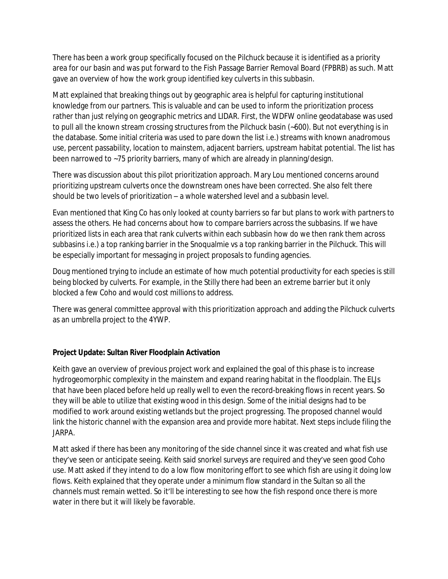There has been a work group specifically focused on the Pilchuck because it is identified as a priority area for our basin and was put forward to the Fish Passage Barrier Removal Board (FPBRB) as such. Matt gave an overview of how the work group identified key culverts in this subbasin.

Matt explained that breaking things out by geographic area is helpful for capturing institutional knowledge from our partners. This is valuable and can be used to inform the prioritization process rather than just relying on geographic metrics and LIDAR. First, the WDFW online geodatabase was used to pull all the known stream crossing structures from the Pilchuck basin (~600). But not everything is in the database. Some initial criteria was used to pare down the list i.e.) streams with known anadromous use, percent passability, location to mainstem, adjacent barriers, upstream habitat potential. The list has been narrowed to ~75 priority barriers, many of which are already in planning/design.

There was discussion about this pilot prioritization approach. Mary Lou mentioned concerns around prioritizing upstream culverts once the downstream ones have been corrected. She also felt there should be two levels of prioritization – a whole watershed level and a subbasin level.

Evan mentioned that King Co has only looked at county barriers so far but plans to work with partners to assess the others. He had concerns about how to compare barriers across the subbasins. If we have prioritized lists in each area that rank culverts within each subbasin how do we then rank them across subbasins i.e.) a top ranking barrier in the Snoqualmie vs a top ranking barrier in the Pilchuck. This will be especially important for messaging in project proposals to funding agencies.

Doug mentioned trying to include an estimate of how much potential productivity for each species is still being blocked by culverts. For example, in the Stilly there had been an extreme barrier but it only blocked a few Coho and would cost millions to address.

There was general committee approval with this prioritization approach and adding the Pilchuck culverts as an umbrella project to the 4YWP.

# **Project Update: Sultan River Floodplain Activation**

Keith gave an overview of previous project work and explained the goal of this phase is to increase hydrogeomorphic complexity in the mainstem and expand rearing habitat in the floodplain. The ELJs that have been placed before held up really well to even the record-breaking flows in recent years. So they will be able to utilize that existing wood in this design. Some of the initial designs had to be modified to work around existing wetlands but the project progressing. The proposed channel would link the historic channel with the expansion area and provide more habitat. Next steps include filing the JARPA.

Matt asked if there has been any monitoring of the side channel since it was created and what fish use they've seen or anticipate seeing. Keith said snorkel surveys are required and they've seen good Coho use. Matt asked if they intend to do a low flow monitoring effort to see which fish are using it doing low flows. Keith explained that they operate under a minimum flow standard in the Sultan so all the channels must remain wetted. So it'll be interesting to see how the fish respond once there is more water in there but it will likely be favorable.